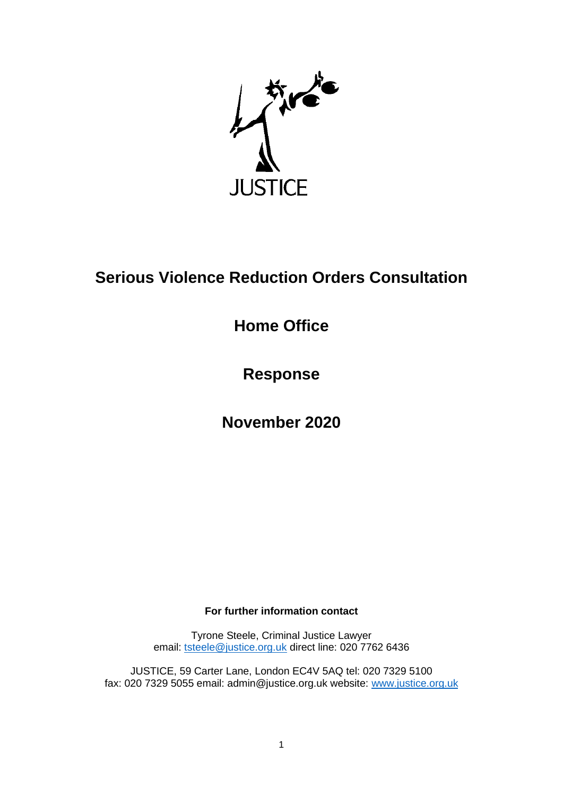

# **Serious Violence Reduction Orders Consultation**

**Home Office**

**Response** 

**November 2020**

### **For further information contact**

Tyrone Steele, Criminal Justice Lawyer email: [tsteele@justice.org.uk](mailto:tsteele@justice.org.uk) direct line: 020 7762 6436

JUSTICE, 59 Carter Lane, London EC4V 5AQ tel: 020 7329 5100 fax: 020 7329 5055 email: admin@justice.org.uk website: [www.justice.org.uk](http://www.justice.org.uk/)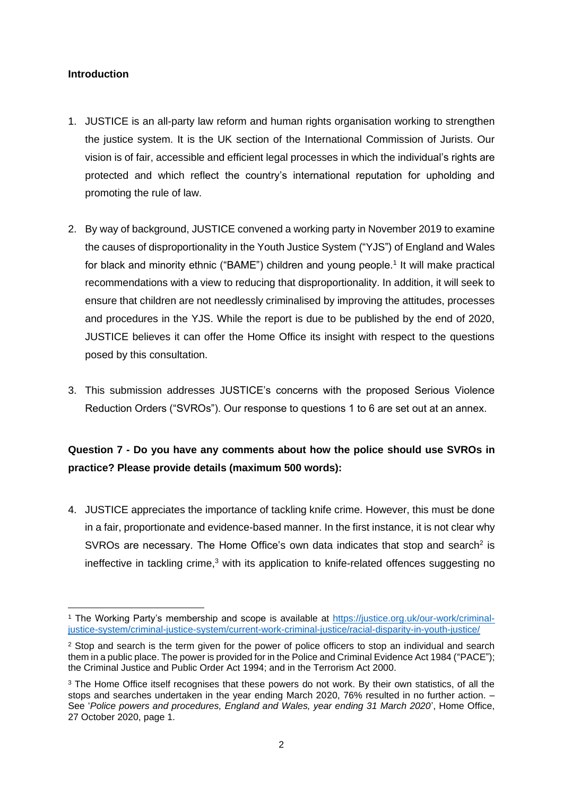#### **Introduction**

- 1. JUSTICE is an all-party law reform and human rights organisation working to strengthen the justice system. It is the UK section of the International Commission of Jurists. Our vision is of fair, accessible and efficient legal processes in which the individual's rights are protected and which reflect the country's international reputation for upholding and promoting the rule of law.
- 2. By way of background, JUSTICE convened a working party in November 2019 to examine the causes of disproportionality in the Youth Justice System ("YJS") of England and Wales for black and minority ethnic ("BAME") children and young people.<sup>1</sup> It will make practical recommendations with a view to reducing that disproportionality. In addition, it will seek to ensure that children are not needlessly criminalised by improving the attitudes, processes and procedures in the YJS. While the report is due to be published by the end of 2020, JUSTICE believes it can offer the Home Office its insight with respect to the questions posed by this consultation.
- 3. This submission addresses JUSTICE's concerns with the proposed Serious Violence Reduction Orders ("SVROs"). Our response to questions 1 to 6 are set out at an annex.

## **Question 7 - Do you have any comments about how the police should use SVROs in practice? Please provide details (maximum 500 words):**

4. JUSTICE appreciates the importance of tackling knife crime. However, this must be done in a fair, proportionate and evidence-based manner. In the first instance, it is not clear why SVROs are necessary. The Home Office's own data indicates that stop and search<sup>2</sup> is ineffective in tackling crime, $3$  with its application to knife-related offences suggesting no

<sup>1</sup> The Working Party's membership and scope is available at [https://justice.org.uk/our-work/criminal](https://justice.org.uk/our-work/criminal-justice-system/criminal-justice-system/current-work-criminal-justice/racial-disparity-in-youth-justice/)[justice-system/criminal-justice-system/current-work-criminal-justice/racial-disparity-in-youth-justice/](https://justice.org.uk/our-work/criminal-justice-system/criminal-justice-system/current-work-criminal-justice/racial-disparity-in-youth-justice/)

<sup>&</sup>lt;sup>2</sup> Stop and search is the term given for the power of police officers to stop an individual and search them in a public place. The power is provided for in the Police and Criminal Evidence Act 1984 ("PACE"); the Criminal Justice and Public Order Act 1994; and in the Terrorism Act 2000.

<sup>&</sup>lt;sup>3</sup> The Home Office itself recognises that these powers do not work. By their own statistics, of all the stops and searches undertaken in the year ending March 2020, 76% resulted in no further action. – See '*Police powers and procedures, England and Wales, year ending 31 March 2020*', Home Office, 27 October 2020, page 1.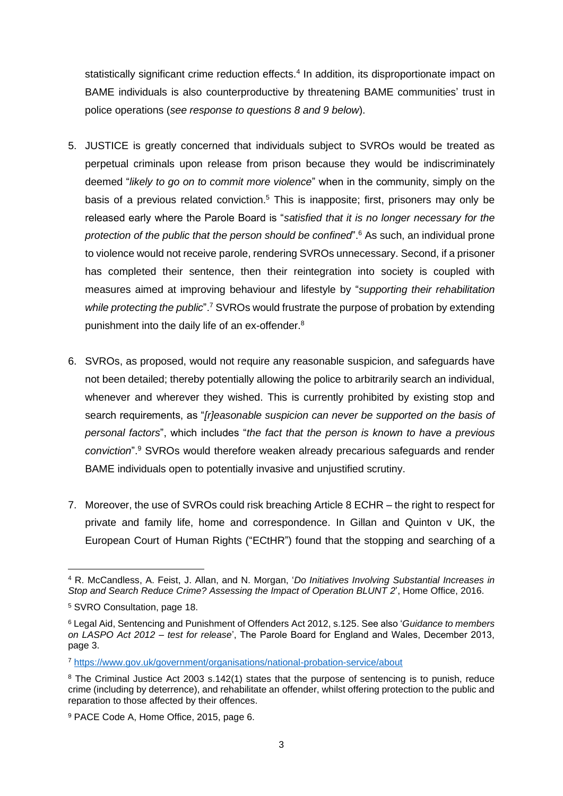statistically significant crime reduction effects.<sup>4</sup> In addition, its disproportionate impact on BAME individuals is also counterproductive by threatening BAME communities' trust in police operations (*see response to questions 8 and 9 below*).

- 5. JUSTICE is greatly concerned that individuals subject to SVROs would be treated as perpetual criminals upon release from prison because they would be indiscriminately deemed "*likely to go on to commit more violence*" when in the community, simply on the basis of a previous related conviction.<sup>5</sup> This is inapposite; first, prisoners may only be released early where the Parole Board is "*satisfied that it is no longer necessary for the protection of the public that the person should be confined*".<sup>6</sup> As such, an individual prone to violence would not receive parole, rendering SVROs unnecessary. Second, if a prisoner has completed their sentence, then their reintegration into society is coupled with measures aimed at improving behaviour and lifestyle by "*supporting their rehabilitation while protecting the public*".<sup>7</sup> SVROs would frustrate the purpose of probation by extending punishment into the daily life of an ex-offender.<sup>8</sup>
- 6. SVROs, as proposed, would not require any reasonable suspicion, and safeguards have not been detailed; thereby potentially allowing the police to arbitrarily search an individual, whenever and wherever they wished. This is currently prohibited by existing stop and search requirements, as "*[r]easonable suspicion can never be supported on the basis of personal factors*", which includes "*the fact that the person is known to have a previous conviction*".<sup>9</sup> SVROs would therefore weaken already precarious safeguards and render BAME individuals open to potentially invasive and unjustified scrutiny.
- 7. Moreover, the use of SVROs could risk breaching Article 8 ECHR the right to respect for private and family life, home and correspondence. In Gillan and Quinton v UK, the European Court of Human Rights ("ECtHR") found that the stopping and searching of a

<sup>4</sup> R. McCandless, A. Feist, J. Allan, and N. Morgan, '*Do Initiatives Involving Substantial Increases in Stop and Search Reduce Crime? Assessing the Impact of Operation BLUNT 2*', Home Office, 2016.

<sup>5</sup> SVRO Consultation, page 18.

<sup>6</sup> Legal Aid, Sentencing and Punishment of Offenders Act 2012, s.125. See also '*Guidance to members on LASPO Act 2012 – test for release*', The Parole Board for England and Wales, December 2013, page 3.

<sup>7</sup> <https://www.gov.uk/government/organisations/national-probation-service/about>

<sup>&</sup>lt;sup>8</sup> The Criminal Justice Act 2003 s.142(1) states that the purpose of sentencing is to punish, reduce crime (including by deterrence), and rehabilitate an offender, whilst offering protection to the public and reparation to those affected by their offences.

<sup>9</sup> PACE Code A, Home Office, 2015, page 6.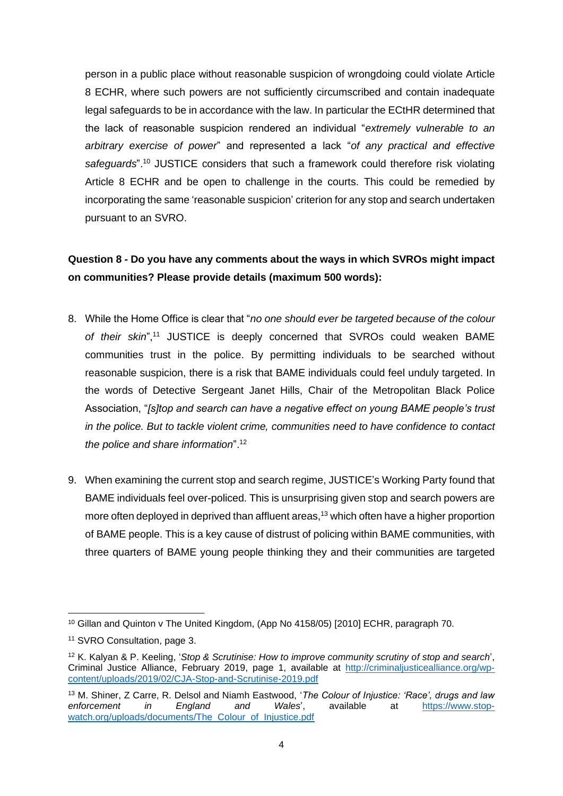person in a public place without reasonable suspicion of wrongdoing could violate Article 8 ECHR, where such powers are not sufficiently circumscribed and contain inadequate legal safeguards to be in accordance with the law. In particular the ECtHR determined that the lack of reasonable suspicion rendered an individual "*extremely vulnerable to an arbitrary exercise of power*" and represented a lack "*of any practical and effective safeguards*".<sup>10</sup> JUSTICE considers that such a framework could therefore risk violating Article 8 ECHR and be open to challenge in the courts. This could be remedied by incorporating the same 'reasonable suspicion' criterion for any stop and search undertaken pursuant to an SVRO.

## **Question 8 - Do you have any comments about the ways in which SVROs might impact on communities? Please provide details (maximum 500 words):**

- 8. While the Home Office is clear that "*no one should ever be targeted because of the colour of their skin*",<sup>11</sup> JUSTICE is deeply concerned that SVROs could weaken BAME communities trust in the police. By permitting individuals to be searched without reasonable suspicion, there is a risk that BAME individuals could feel unduly targeted. In the words of Detective Sergeant Janet Hills, Chair of the Metropolitan Black Police Association, "*[s]top and search can have a negative effect on young BAME people's trust in the police. But to tackle violent crime, communities need to have confidence to contact the police and share information*".<sup>12</sup>
- 9. When examining the current stop and search regime, JUSTICE's Working Party found that BAME individuals feel over-policed. This is unsurprising given stop and search powers are more often deployed in deprived than affluent areas, <sup>13</sup> which often have a higher proportion of BAME people. This is a key cause of distrust of policing within BAME communities, with three quarters of BAME young people thinking they and their communities are targeted

<sup>10</sup> Gillan and Quinton v The United Kingdom, (App No 4158/05) [2010] ECHR, paragraph 70.

<sup>11</sup> SVRO Consultation, page 3.

<sup>12</sup> K. Kalyan & P. Keeling, '*Stop & Scrutinise: How to improve community scrutiny of stop and search*', Criminal Justice Alliance, February 2019, page 1, available at [http://criminaljusticealliance.org/wp](http://criminaljusticealliance.org/wp-content/uploads/2019/02/CJA-Stop-and-Scrutinise-2019.pdf)[content/uploads/2019/02/CJA-Stop-and-Scrutinise-2019.pdf](http://criminaljusticealliance.org/wp-content/uploads/2019/02/CJA-Stop-and-Scrutinise-2019.pdf)

<sup>13</sup> M. Shiner, Z Carre, R. Delsol and Niamh Eastwood, '*The Colour of Injustice: 'Race', drugs and law enforcement in England and Wales*', available at [https://www.stop](https://www.stop-watch.org/uploads/documents/The_Colour_of_Injustice.pdf)[watch.org/uploads/documents/The\\_Colour\\_of\\_Injustice.pdf](https://www.stop-watch.org/uploads/documents/The_Colour_of_Injustice.pdf)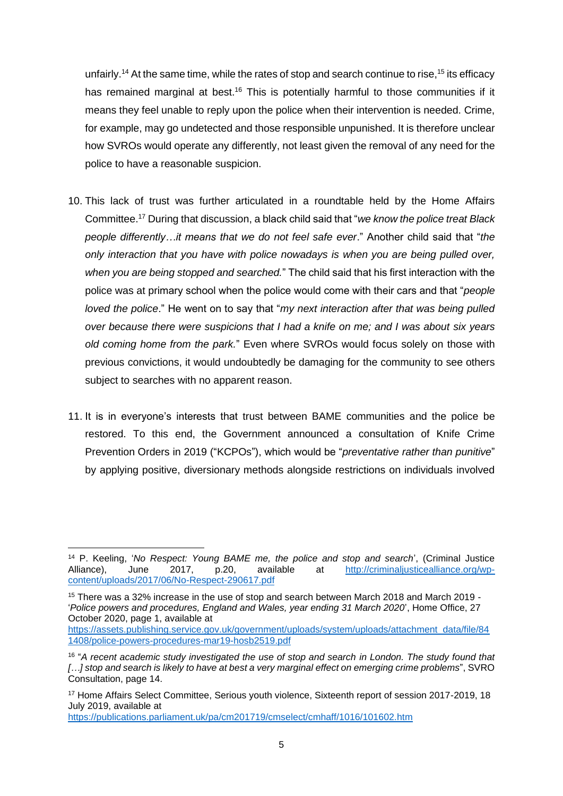unfairly.<sup>14</sup> At the same time, while the rates of stop and search continue to rise,<sup>15</sup> its efficacy has remained marginal at best.<sup>16</sup> This is potentially harmful to those communities if it means they feel unable to reply upon the police when their intervention is needed. Crime, for example, may go undetected and those responsible unpunished. It is therefore unclear how SVROs would operate any differently, not least given the removal of any need for the police to have a reasonable suspicion.

- 10. This lack of trust was further articulated in a roundtable held by the Home Affairs Committee.<sup>17</sup> During that discussion, a black child said that "*we know the police treat Black people differently…it means that we do not feel safe ever*." Another child said that "*the only interaction that you have with police nowadays is when you are being pulled over, when you are being stopped and searched.*" The child said that his first interaction with the police was at primary school when the police would come with their cars and that "*people loved the police*." He went on to say that "*my next interaction after that was being pulled over because there were suspicions that I had a knife on me; and I was about six years old coming home from the park.*" Even where SVROs would focus solely on those with previous convictions, it would undoubtedly be damaging for the community to see others subject to searches with no apparent reason.
- 11. It is in everyone's interests that trust between BAME communities and the police be restored. To this end, the Government announced a consultation of Knife Crime Prevention Orders in 2019 ("KCPOs"), which would be "*preventative rather than punitive*" by applying positive, diversionary methods alongside restrictions on individuals involved

<https://publications.parliament.uk/pa/cm201719/cmselect/cmhaff/1016/101602.htm>

<sup>14</sup> P. Keeling, '*No Respect: Young BAME me, the police and stop and search*', (Criminal Justice Alliance), June 2017, p.20, available at [http://criminaljusticealliance.org/wp](http://criminaljusticealliance.org/wp-content/uploads/2017/06/No-Respect-290617.pdf)[content/uploads/2017/06/No-Respect-290617.pdf](http://criminaljusticealliance.org/wp-content/uploads/2017/06/No-Respect-290617.pdf)

<sup>15</sup> There was a 32% increase in the use of stop and search between March 2018 and March 2019 - '*Police powers and procedures, England and Wales, year ending 31 March 2020*', Home Office, 27 October 2020, page 1, available at

[https://assets.publishing.service.gov.uk/government/uploads/system/uploads/attachment\\_data/file/84](https://assets.publishing.service.gov.uk/government/uploads/system/uploads/attachment_data/file/841408/police-powers-procedures-mar19-hosb2519.pdf) [1408/police-powers-procedures-mar19-hosb2519.pdf](https://assets.publishing.service.gov.uk/government/uploads/system/uploads/attachment_data/file/841408/police-powers-procedures-mar19-hosb2519.pdf)

<sup>16</sup> "*A recent academic study investigated the use of stop and search in London. The study found that […] stop and search is likely to have at best a very marginal effect on emerging crime problems*", SVRO Consultation, page 14.

<sup>17</sup> Home Affairs Select Committee, Serious youth violence, Sixteenth report of session 2017-2019, 18 July 2019, available at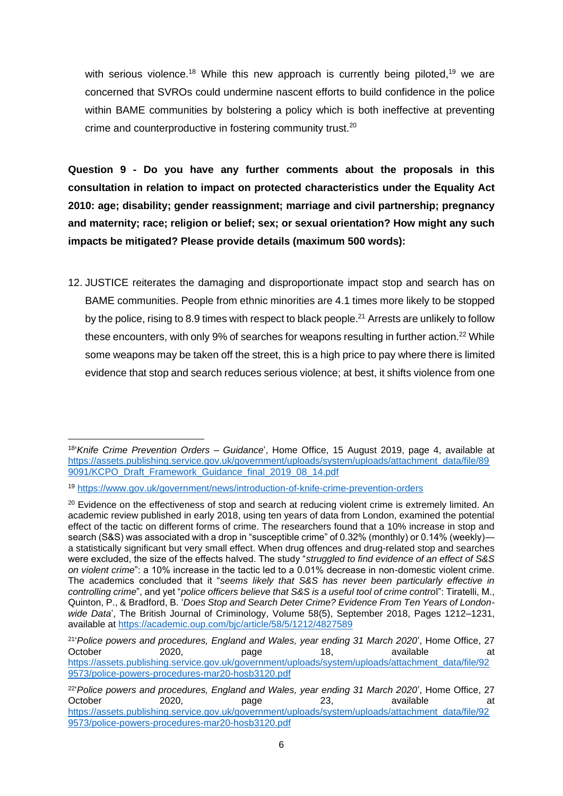with serious violence.<sup>18</sup> While this new approach is currently being piloted,<sup>19</sup> we are concerned that SVROs could undermine nascent efforts to build confidence in the police within BAME communities by bolstering a policy which is both ineffective at preventing crime and counterproductive in fostering community trust.<sup>20</sup>

**Question 9 - Do you have any further comments about the proposals in this consultation in relation to impact on protected characteristics under the Equality Act 2010: age; disability; gender reassignment; marriage and civil partnership; pregnancy and maternity; race; religion or belief; sex; or sexual orientation? How might any such impacts be mitigated? Please provide details (maximum 500 words):**

12. JUSTICE reiterates the damaging and disproportionate impact stop and search has on BAME communities. People from ethnic minorities are 4.1 times more likely to be stopped by the police, rising to 8.9 times with respect to black people.<sup>21</sup> Arrests are unlikely to follow these encounters, with only 9% of searches for weapons resulting in further action.<sup>22</sup> While some weapons may be taken off the street, this is a high price to pay where there is limited evidence that stop and search reduces serious violence; at best, it shifts violence from one

<sup>18</sup> '*Knife Crime Prevention Orders – Guidance*', Home Office, 15 August 2019, page 4, available at [https://assets.publishing.service.gov.uk/government/uploads/system/uploads/attachment\\_data/file/89](https://assets.publishing.service.gov.uk/government/uploads/system/uploads/attachment_data/file/899091/KCPO_Draft_Framework_Guidance_final_2019_08_14.pdf) [9091/KCPO\\_Draft\\_Framework\\_Guidance\\_final\\_2019\\_08\\_14.pdf](https://assets.publishing.service.gov.uk/government/uploads/system/uploads/attachment_data/file/899091/KCPO_Draft_Framework_Guidance_final_2019_08_14.pdf)

<sup>19</sup> <https://www.gov.uk/government/news/introduction-of-knife-crime-prevention-orders>

<sup>&</sup>lt;sup>20</sup> Evidence on the effectiveness of stop and search at reducing violent crime is extremely limited. An academic review published in early 2018, using ten years of data from London, examined the potential effect of the tactic on different forms of crime. The researchers found that a 10% increase in stop and search (S&S) was associated with a drop in "susceptible crime" of 0.32% (monthly) or 0.14% (weekly) a statistically significant but very small effect. When drug offences and drug-related stop and searches were excluded, the size of the effects halved. The study "*struggled to find evidence of an effect of S&S on violent crime*": a 10% increase in the tactic led to a 0.01% decrease in non-domestic violent crime. The academics concluded that it "*seems likely that S&S has never been particularly effective in controlling crime*", and yet "*police officers believe that S&S is a useful tool of crime contro*l": Tiratelli, M., Quinton, P., & Bradford, B. '*Does Stop and Search Deter Crime? Evidence From Ten Years of Londonwide Data*', The British Journal of Criminology, Volume 58(5), September 2018, Pages 1212–1231, available at<https://academic.oup.com/bjc/article/58/5/1212/4827589>

<sup>21</sup> '*Police powers and procedures, England and Wales, year ending 31 March 2020*', Home Office, 27 October 2020, page 18, available at [https://assets.publishing.service.gov.uk/government/uploads/system/uploads/attachment\\_data/file/92](https://assets.publishing.service.gov.uk/government/uploads/system/uploads/attachment_data/file/929573/police-powers-procedures-mar20-hosb3120.pdf) [9573/police-powers-procedures-mar20-hosb3120.pdf](https://assets.publishing.service.gov.uk/government/uploads/system/uploads/attachment_data/file/929573/police-powers-procedures-mar20-hosb3120.pdf)

<sup>&</sup>lt;sup>22</sup> Police powers and procedures, England and Wales, year ending 31 March 2020', Home Office, 27 October 2020, page 23, available at [https://assets.publishing.service.gov.uk/government/uploads/system/uploads/attachment\\_data/file/92](https://assets.publishing.service.gov.uk/government/uploads/system/uploads/attachment_data/file/929573/police-powers-procedures-mar20-hosb3120.pdf) [9573/police-powers-procedures-mar20-hosb3120.pdf](https://assets.publishing.service.gov.uk/government/uploads/system/uploads/attachment_data/file/929573/police-powers-procedures-mar20-hosb3120.pdf)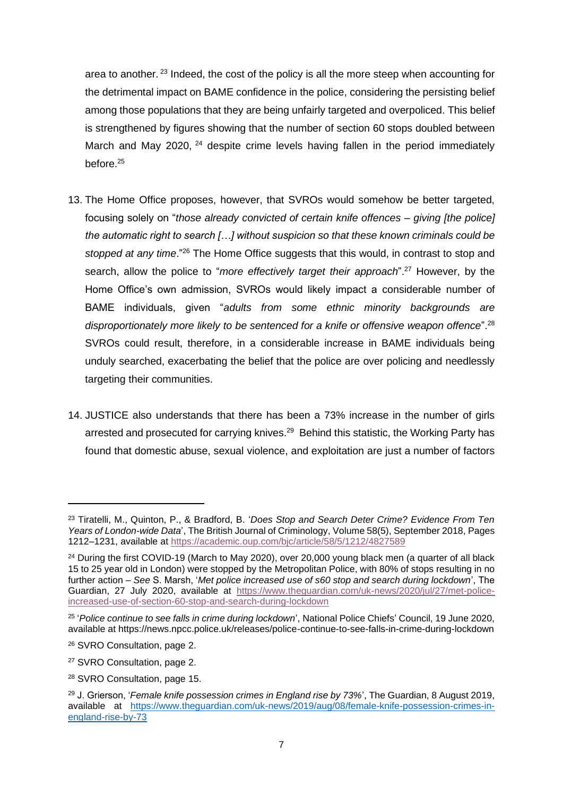area to another.<sup>23</sup> Indeed, the cost of the policy is all the more steep when accounting for the detrimental impact on BAME confidence in the police, considering the persisting belief among those populations that they are being unfairly targeted and overpoliced. This belief is strengthened by figures showing that the number of section 60 stops doubled between March and May 2020, <sup>24</sup> despite crime levels having fallen in the period immediately before  $^{25}$ 

- 13. The Home Office proposes, however, that SVROs would somehow be better targeted, focusing solely on "*those already convicted of certain knife offences – giving [the police] the automatic right to search […] without suspicion so that these known criminals could be stopped at any time*."<sup>26</sup> The Home Office suggests that this would, in contrast to stop and search, allow the police to "*more effectively target their approach*".<sup>27</sup> However, by the Home Office's own admission, SVROs would likely impact a considerable number of BAME individuals, given "*adults from some ethnic minority backgrounds are disproportionately more likely to be sentenced for a knife or offensive weapon offence*".<sup>28</sup> SVROs could result, therefore, in a considerable increase in BAME individuals being unduly searched, exacerbating the belief that the police are over policing and needlessly targeting their communities.
- 14. JUSTICE also understands that there has been a 73% increase in the number of girls arrested and prosecuted for carrying knives.<sup>29</sup> Behind this statistic, the Working Party has found that domestic abuse, sexual violence, and exploitation are just a number of factors

<sup>23</sup> Tiratelli, M., Quinton, P., & Bradford, B. '*Does Stop and Search Deter Crime? Evidence From Ten Years of London-wide Data*', The British Journal of Criminology, Volume 58(5), September 2018, Pages 1212–1231, available at<https://academic.oup.com/bjc/article/58/5/1212/4827589>

<sup>&</sup>lt;sup>24</sup> During the first COVID-19 (March to May 2020), over 20,000 young black men (a quarter of all black 15 to 25 year old in London) were stopped by the Metropolitan Police, with 80% of stops resulting in no further action – *See* S. Marsh, '*Met police increased use of s60 stop and search during lockdown*', The Guardian, 27 July 2020, available at [https://www.theguardian.com/uk-news/2020/jul/27/met-police](https://www.theguardian.com/uk-news/2020/jul/27/met-police-increased-use-of-section-60-stop-and-search-during-lockdown)[increased-use-of-section-60-stop-and-search-during-lockdown](https://www.theguardian.com/uk-news/2020/jul/27/met-police-increased-use-of-section-60-stop-and-search-during-lockdown)

<sup>25</sup> '*Police continue to see falls in crime during lockdown*', National Police Chiefs' Council, 19 June 2020, available at https://news.npcc.police.uk/releases/police-continue-to-see-falls-in-crime-during-lockdown

<sup>26</sup> SVRO Consultation, page 2.

<sup>27</sup> SVRO Consultation, page 2.

<sup>28</sup> SVRO Consultation, page 15.

<sup>29</sup> J. Grierson, '*Female knife possession crimes in England rise by 73%*', The Guardian, 8 August 2019, available at [https://www.theguardian.com/uk-news/2019/aug/08/female-knife-possession-crimes-in](https://www.theguardian.com/uk-news/2019/aug/08/female-knife-possession-crimes-in-england-rise-by-73)[england-rise-by-73](https://www.theguardian.com/uk-news/2019/aug/08/female-knife-possession-crimes-in-england-rise-by-73)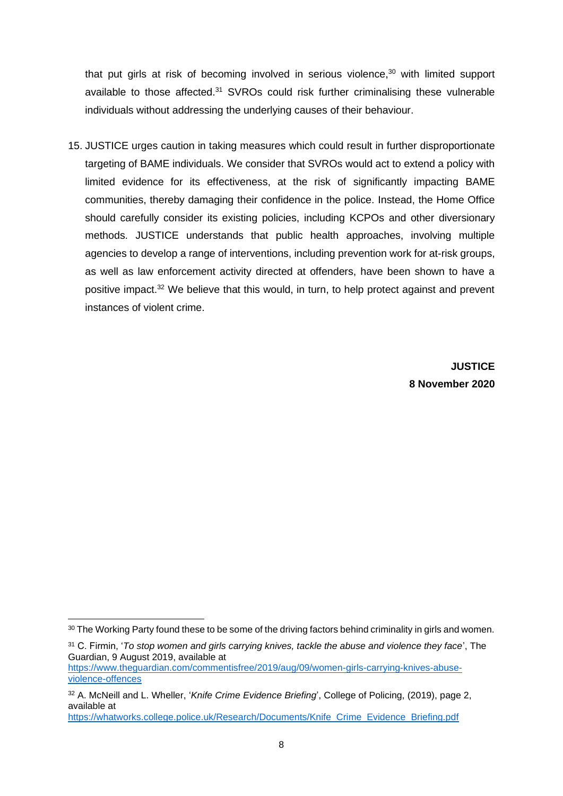that put girls at risk of becoming involved in serious violence,<sup>30</sup> with limited support available to those affected.<sup>31</sup> SVROs could risk further criminalising these vulnerable individuals without addressing the underlying causes of their behaviour.

15. JUSTICE urges caution in taking measures which could result in further disproportionate targeting of BAME individuals. We consider that SVROs would act to extend a policy with limited evidence for its effectiveness, at the risk of significantly impacting BAME communities, thereby damaging their confidence in the police. Instead, the Home Office should carefully consider its existing policies, including KCPOs and other diversionary methods. JUSTICE understands that public health approaches, involving multiple agencies to develop a range of interventions, including prevention work for at-risk groups, as well as law enforcement activity directed at offenders, have been shown to have a positive impact.<sup>32</sup> We believe that this would, in turn, to help protect against and prevent instances of violent crime.

> **JUSTICE 8 November 2020**

[https://whatworks.college.police.uk/Research/Documents/Knife\\_Crime\\_Evidence\\_Briefing.pdf](https://whatworks.college.police.uk/Research/Documents/Knife_Crime_Evidence_Briefing.pdf)

<sup>30</sup> The Working Party found these to be some of the driving factors behind criminality in girls and women.

<sup>31</sup> C. Firmin, '*To stop women and girls carrying knives, tackle the abuse and violence they face*', The Guardian, 9 August 2019, available at

[https://www.theguardian.com/commentisfree/2019/aug/09/women-girls-carrying-knives-abuse](https://www.theguardian.com/commentisfree/2019/aug/09/women-girls-carrying-knives-abuse-violence-offences)[violence-offences](https://www.theguardian.com/commentisfree/2019/aug/09/women-girls-carrying-knives-abuse-violence-offences)

<sup>32</sup> A. McNeill and L. Wheller, '*Knife Crime Evidence Briefing*', College of Policing, (2019), page 2, available at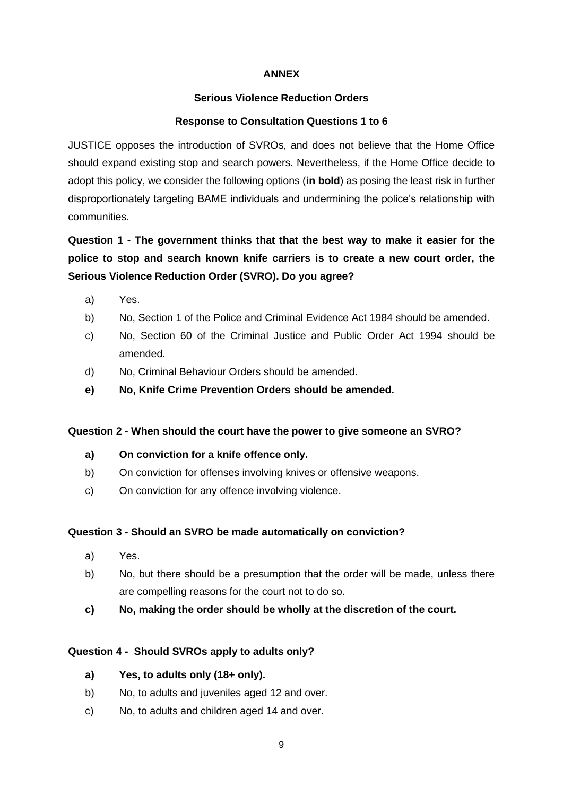#### **ANNEX**

#### **Serious Violence Reduction Orders**

#### **Response to Consultation Questions 1 to 6**

JUSTICE opposes the introduction of SVROs, and does not believe that the Home Office should expand existing stop and search powers. Nevertheless, if the Home Office decide to adopt this policy, we consider the following options (**in bold**) as posing the least risk in further disproportionately targeting BAME individuals and undermining the police's relationship with communities.

**Question 1 - The government thinks that that the best way to make it easier for the police to stop and search known knife carriers is to create a new court order, the Serious Violence Reduction Order (SVRO). Do you agree?**

- a) Yes.
- b) No, Section 1 of the Police and Criminal Evidence Act 1984 should be amended.
- c) No, Section 60 of the Criminal Justice and Public Order Act 1994 should be amended.
- d) No, Criminal Behaviour Orders should be amended.
- **e) No, Knife Crime Prevention Orders should be amended.**

#### **Question 2 - When should the court have the power to give someone an SVRO?**

- **a) On conviction for a knife offence only.**
- b) On conviction for offenses involving knives or offensive weapons.
- c) On conviction for any offence involving violence.

#### **Question 3 - Should an SVRO be made automatically on conviction?**

- a) Yes.
- b) No, but there should be a presumption that the order will be made, unless there are compelling reasons for the court not to do so.
- **c) No, making the order should be wholly at the discretion of the court.**

#### **Question 4 - Should SVROs apply to adults only?**

- **a) Yes, to adults only (18+ only).**
- b) No, to adults and juveniles aged 12 and over.
- c) No, to adults and children aged 14 and over.